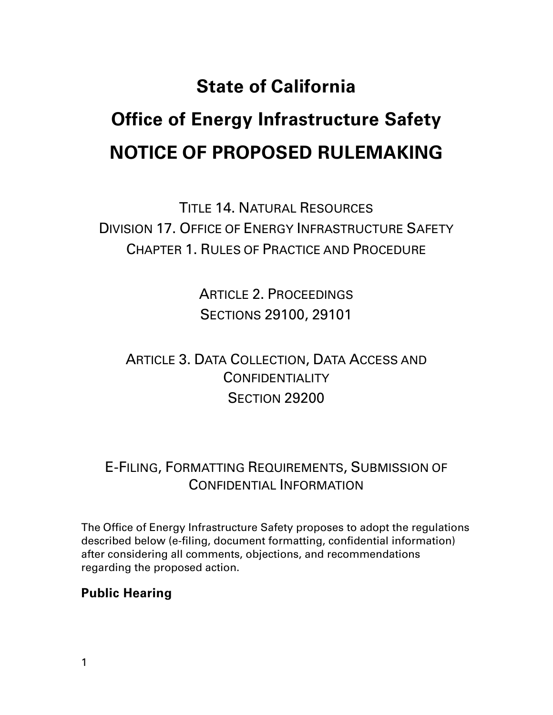# **State of California Office of Energy Infrastructure Safety NOTICE OF PROPOSED RULEMAKING**

TITLE 14. NATURAL RESOURCES DIVISION 17. OFFICE OF ENERGY INFRASTRUCTURE SAFETY CHAPTER 1. RULES OF PRACTICE AND PROCEDURE

> ARTICLE 2. PROCEEDINGS SECTIONS 29100, 29101

# ARTICLE 3. DATA COLLECTION, DATA ACCESS AND **CONFIDENTIALITY** SECTION 29200

## E-FILING, FORMATTING REQUIREMENTS, SUBMISSION OF CONFIDENTIAL INFORMATION

The Office of Energy Infrastructure Safety proposes to adopt the regulations described below (e-filing, document formatting, confidential information) after considering all comments, objections, and recommendations regarding the proposed action.

## **Public Hearing**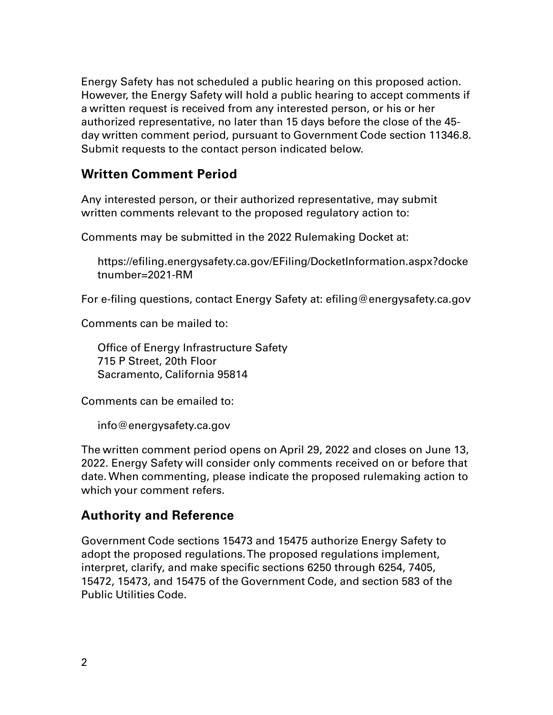Energy Safety has not scheduled a public hearing on this proposed action. However, the Energy Safety will hold a public hearing to accept comments if a written request is received from any interested person, or his or her authorized representative, no later than 15 days before the close of the 45 day written comment period, pursuant to Government Code section 11346.8. Submit requests to the contact person indicated below.

## **Written Comment Period**

Any interested person, or their authorized representative, may submit written comments relevant to the proposed regulatory action to:

Comments may be submitted in the 2022 Rulemaking Docket at:

https://efiling.energysafety.ca.gov/EFiling/DocketInformation.aspx?docke tnumber=2021-RM

For e-filing questions, contact Energy Safety at: efiling@energysafety.ca.gov

Comments can be mailed to:

Office of Energy Infrastructure Safety 715 P Street, 20th Floor Sacramento, California 95814

Comments can be emailed to:

info@energysafety.ca.gov

The written comment period opens on April 29, 2022 and closes on June 13, 2022. Energy Safety will consider only comments received on or before that date. When commenting, please indicate the proposed rulemaking action to which your comment refers.

## **Authority and Reference**

Government Code sections 15473 and 15475 authorize Energy Safety to adopt the proposed regulations. The proposed regulations implement, interpret, clarify, and make specific sections 6250 through 6254, 7405, 15472, 15473, and 15475 of the Government Code, and section 583 of the Public Utilities Code.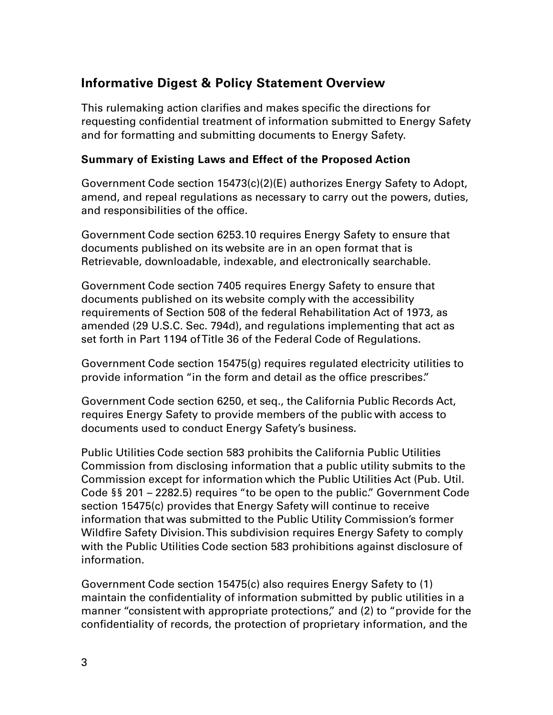## **Informative Digest & Policy Statement Overview**

This rulemaking action clarifies and makes specific the directions for requesting confidential treatment of information submitted to Energy Safety and for formatting and submitting documents to Energy Safety.

#### **Summary of Existing Laws and Effect of the Proposed Action**

Government Code section 15473(c)(2)(E) authorizes Energy Safety to Adopt, amend, and repeal regulations as necessary to carry out the powers, duties, and responsibilities of the office.

Government Code section 6253.10 requires Energy Safety to ensure that documents published on its website are in an open format that is Retrievable, downloadable, indexable, and electronically searchable.

Government Code section 7405 requires Energy Safety to ensure that documents published on its website comply with the accessibility requirements of Section 508 of the federal Rehabilitation Act of 1973, as amended (29 U.S.C. Sec. 794d), and regulations implementing that act as set forth in Part 1194 of Title 36 of the Federal Code of Regulations.

Government Code section 15475(g) requires regulated electricity utilities to provide information "in the form and detail as the office prescribes."

Government Code section 6250, et seq., the California Public Records Act, requires Energy Safety to provide members of the public with access to documents used to conduct Energy Safety's business.

Public Utilities Code section 583 prohibits the California Public Utilities Commission from disclosing information that a public utility submits to the Commission except for information which the Public Utilities Act (Pub. Util. Code §§ 201 – 2282.5) requires "to be open to the public." Government Code section 15475(c) provides that Energy Safety will continue to receive information that was submitted to the Public Utility Commission's former Wildfire Safety Division. This subdivision requires Energy Safety to comply with the Public Utilities Code section 583 prohibitions against disclosure of information.

Government Code section 15475(c) also requires Energy Safety to (1) maintain the confidentiality of information submitted by public utilities in a manner "consistent with appropriate protections," and (2) to "provide for the confidentiality of records, the protection of proprietary information, and the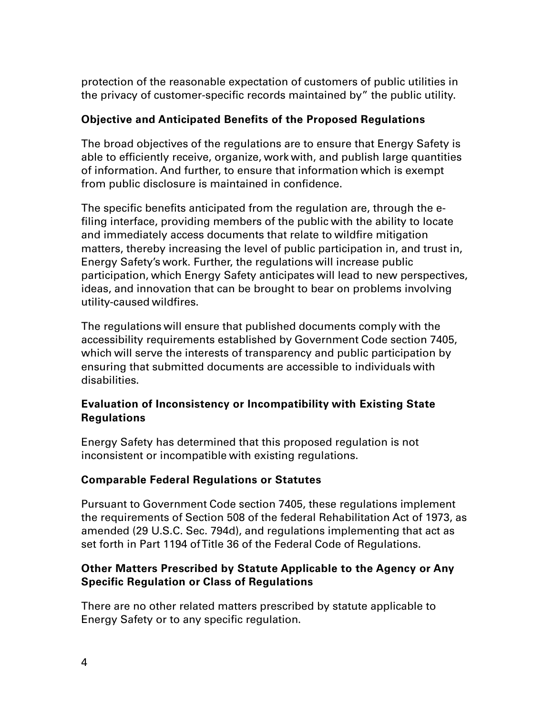protection of the reasonable expectation of customers of public utilities in the privacy of customer-specific records maintained by" the public utility.

#### **Objective and Anticipated Benefits of the Proposed Regulations**

The broad objectives of the regulations are to ensure that Energy Safety is able to efficiently receive, organize, work with, and publish large quantities of information. And further, to ensure that information which is exempt from public disclosure is maintained in confidence.

The specific benefits anticipated from the regulation are, through the efiling interface, providing members of the public with the ability to locate and immediately access documents that relate to wildfire mitigation matters, thereby increasing the level of public participation in, and trust in, Energy Safety's work. Further, the regulations will increase public participation, which Energy Safety anticipates will lead to new perspectives, ideas, and innovation that can be brought to bear on problems involving utility-caused wildfires.

The regulations will ensure that published documents comply with the accessibility requirements established by Government Code section 7405, which will serve the interests of transparency and public participation by ensuring that submitted documents are accessible to individuals with disabilities.

#### **Evaluation of Inconsistency or Incompatibility with Existing State Regulations**

Energy Safety has determined that this proposed regulation is not inconsistent or incompatible with existing regulations.

#### **Comparable Federal Regulations or Statutes**

Pursuant to Government Code section 7405, these regulations implement the requirements of Section 508 of the federal Rehabilitation Act of 1973, as amended (29 U.S.C. Sec. 794d), and regulations implementing that act as set forth in Part 1194 of Title 36 of the Federal Code of Regulations.

#### **Other Matters Prescribed by Statute Applicable to the Agency or Any Specific Regulation or Class of Regulations**

There are no other related matters prescribed by statute applicable to Energy Safety or to any specific regulation.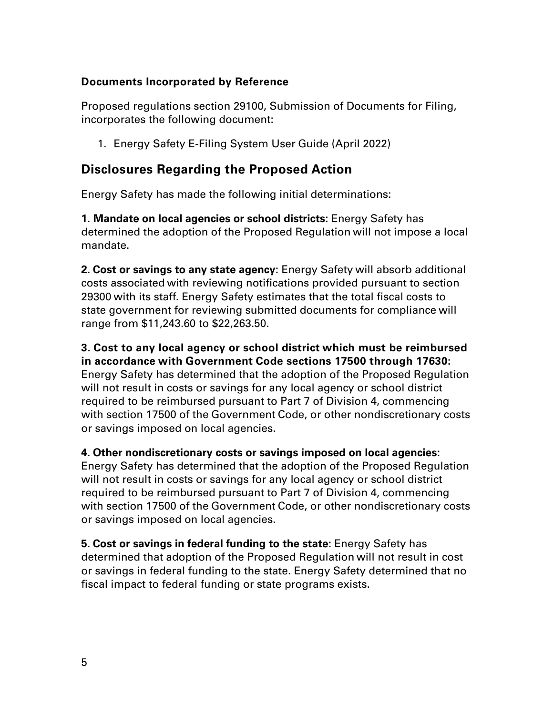#### **Documents Incorporated by Reference**

Proposed regulations section 29100, Submission of Documents for Filing, incorporates the following document:

1. Energy Safety E-Filing System User Guide (April 2022)

## **Disclosures Regarding the Proposed Action**

Energy Safety has made the following initial determinations:

**1. Mandate on local agencies or school districts:** Energy Safety has determined the adoption of the Proposed Regulation will not impose a local mandate.

**2. Cost or savings to any state agency:** Energy Safety will absorb additional costs associated with reviewing notifications provided pursuant to section 29300 with its staff. Energy Safety estimates that the total fiscal costs to state government for reviewing submitted documents for compliance will range from \$11,243.60 to \$22,263.50.

**3. Cost to any local agency or school district which must be reimbursed in accordance with Government Code sections 17500 through 17630:** Energy Safety has determined that the adoption of the Proposed Regulation will not result in costs or savings for any local agency or school district required to be reimbursed pursuant to Part 7 of Division 4, commencing with section 17500 of the Government Code, or other nondiscretionary costs or savings imposed on local agencies.

**4. Other nondiscretionary costs or savings imposed on local agencies:** Energy Safety has determined that the adoption of the Proposed Regulation will not result in costs or savings for any local agency or school district required to be reimbursed pursuant to Part 7 of Division 4, commencing with section 17500 of the Government Code, or other nondiscretionary costs or savings imposed on local agencies.

**5. Cost or savings in federal funding to the state:** Energy Safety has determined that adoption of the Proposed Regulation will not result in cost or savings in federal funding to the state. Energy Safety determined that no fiscal impact to federal funding or state programs exists.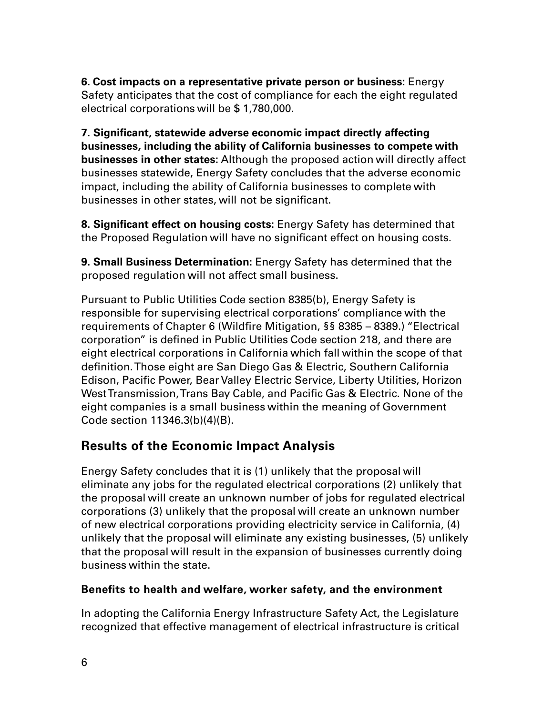**6. Cost impacts on a representative private person or business:** Energy Safety anticipates that the cost of compliance for each the eight regulated electrical corporations will be \$ 1,780,000.

**7. Significant, statewide adverse economic impact directly affecting businesses, including the ability of California businesses to compete with businesses in other states:** Although the proposed action will directly affect businesses statewide, Energy Safety concludes that the adverse economic impact, including the ability of California businesses to complete with businesses in other states, will not be significant.

**8. Significant effect on housing costs:** Energy Safety has determined that the Proposed Regulation will have no significant effect on housing costs.

**9. Small Business Determination:** Energy Safety has determined that the proposed regulation will not affect small business.

Pursuant to Public Utilities Code section 8385(b), Energy Safety is responsible for supervising electrical corporations' compliance with the requirements of Chapter 6 (Wildfire Mitigation, §§ 8385 – 8389.) "Electrical corporation" is defined in Public Utilities Code section 218, and there are eight electrical corporations in California which fall within the scope of that definition. Those eight are San Diego Gas & Electric, Southern California Edison, Pacific Power, Bear Valley Electric Service, Liberty Utilities, Horizon West Transmission, Trans Bay Cable, and Pacific Gas & Electric. None of the eight companies is a small business within the meaning of Government Code section 11346.3(b)(4)(B).

## **Results of the Economic Impact Analysis**

Energy Safety concludes that it is (1) unlikely that the proposal will eliminate any jobs for the regulated electrical corporations (2) unlikely that the proposal will create an unknown number of jobs for regulated electrical corporations (3) unlikely that the proposal will create an unknown number of new electrical corporations providing electricity service in California, (4) unlikely that the proposal will eliminate any existing businesses, (5) unlikely that the proposal will result in the expansion of businesses currently doing business within the state.

#### **Benefits to health and welfare, worker safety, and the environment**

In adopting the California Energy Infrastructure Safety Act, the Legislature recognized that effective management of electrical infrastructure is critical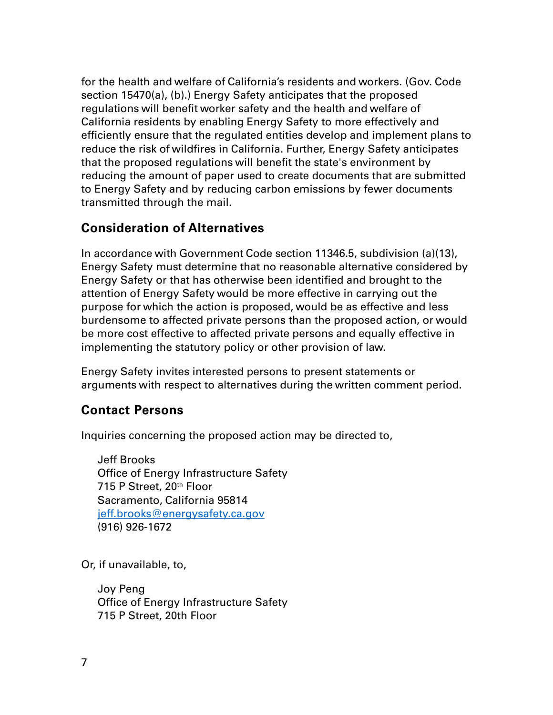for the health and welfare of California's residents and workers. (Gov. Code section 15470(a), (b).) Energy Safety anticipates that the proposed regulations will benefit worker safety and the health and welfare of California residents by enabling Energy Safety to more effectively and efficiently ensure that the regulated entities develop and implement plans to reduce the risk of wildfires in California. Further, Energy Safety anticipates that the proposed regulations will benefit the state's environment by reducing the amount of paper used to create documents that are submitted to Energy Safety and by reducing carbon emissions by fewer documents transmitted through the mail.

## **Consideration of Alternatives**

In accordance with Government Code section 11346.5, subdivision (a)(13), Energy Safety must determine that no reasonable alternative considered by Energy Safety or that has otherwise been identified and brought to the attention of Energy Safety would be more effective in carrying out the purpose for which the action is proposed, would be as effective and less burdensome to affected private persons than the proposed action, or would be more cost effective to affected private persons and equally effective in implementing the statutory policy or other provision of law.

Energy Safety invites interested persons to present statements or arguments with respect to alternatives during the written comment period.

## **Contact Persons**

Inquiries concerning the proposed action may be directed to,

Jeff Brooks Office of Energy Infrastructure Safety 715 P Street, 20<sup>th</sup> Floor Sacramento, California 95814 [jeff.brooks@energysafety.ca.gov](mailto:jeff.brooks@energysafety.ca.gov)  (916) 926-1672

Or, if unavailable, to,

Joy Peng Office of Energy Infrastructure Safety 715 P Street, 20th Floor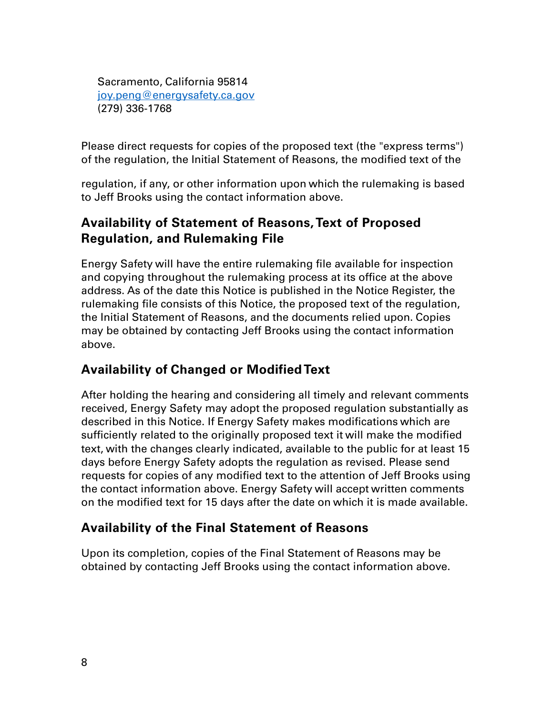Sacramento, California 95814 [joy.peng@energysafety.ca.gov](mailto:joy.peng@energysafety.ca.gov) (279) 336-1768

Please direct requests for copies of the proposed text (the "express terms") of the regulation, the Initial Statement of Reasons, the modified text of the

regulation, if any, or other information upon which the rulemaking is based to Jeff Brooks using the contact information above.

## **Availability of Statement of Reasons, Text of Proposed Regulation, and Rulemaking File**

Energy Safety will have the entire rulemaking file available for inspection and copying throughout the rulemaking process at its office at the above address. As of the date this Notice is published in the Notice Register, the rulemaking file consists of this Notice, the proposed text of the regulation, the Initial Statement of Reasons, and the documents relied upon. Copies may be obtained by contacting Jeff Brooks using the contact information above.

## **Availability of Changed or Modified Text**

After holding the hearing and considering all timely and relevant comments received, Energy Safety may adopt the proposed regulation substantially as described in this Notice. If Energy Safety makes modifications which are sufficiently related to the originally proposed text it will make the modified text, with the changes clearly indicated, available to the public for at least 15 days before Energy Safety adopts the regulation as revised. Please send requests for copies of any modified text to the attention of Jeff Brooks using the contact information above. Energy Safety will accept written comments on the modified text for 15 days after the date on which it is made available.

## **Availability of the Final Statement of Reasons**

Upon its completion, copies of the Final Statement of Reasons may be obtained by contacting Jeff Brooks using the contact information above.